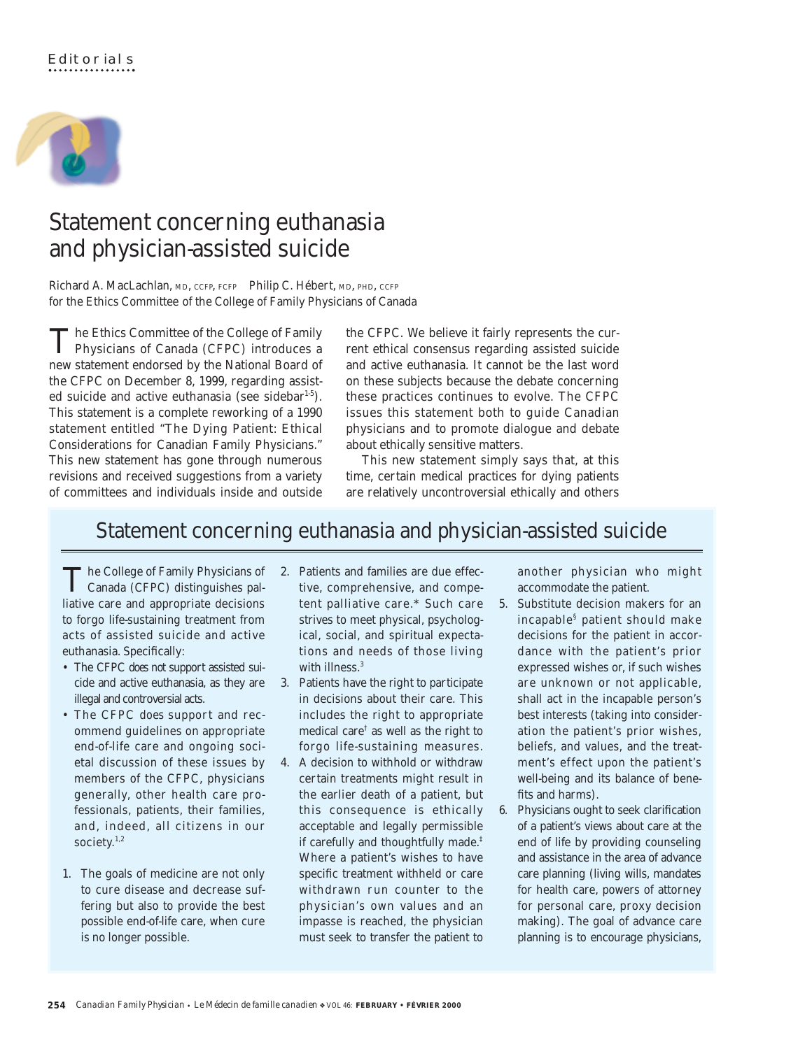## Editorial<sub>s</sub>



## Statement concerning euthanasia and physician-assisted suicide

Richard A. MacLachlan, MD, CCFP, FCFP Philip C. Hébert, MD, PHD, CCFP for the Ethics Committee of the College of Family Physicians of Canada

The Ethics Committee of the College of Family Physicians of Canada (CFPC) introduces a new statement endorsed by the National Board of the CFPC on December 8, 1999, regarding assisted suicide and active euthanasia (see sidebar $1-5$ ). This statement is a complete reworking of a 1990 statement entitled "The Dying Patient: Ethical Considerations for Canadian Family Physicians." This new statement has gone through numerous revisions and received suggestions from a variety of committees and individuals inside and outside

the CFPC. We believe it fairly represents the current ethical consensus regarding assisted suicide and active euthanasia. It cannot be the last word on these subjects because the debate concerning these practices continues to evolve. The CFPC issues this statement both to guide Canadian physicians and to promote dialogue and debate about ethically sensitive matters.

This new statement simply says that, at this time, certain medical practices for dying patients are relatively uncontroversial ethically and others

## Statement concerning euthanasia and physician-assisted suicide

The College of Family Physicians of Canada (CFPC) distinguishes palliative care and appropriate decisions to forgo life-sustaining treatment from acts of assisted suicide and active euthanasia. Specifically:

- The CFPC *does not* support assisted suicide and active euthanasia, as they are illegal and controversial acts.
- The CFPC *does* support and recommend guidelines on appropriate end-of-life care and ongoing societal discussion of these issues by members of the CFPC, physicians generally, other health care professionals, patients, their families, and, indeed, all citizens in our society. $1,2$
- 1. The goals of medicine are not only to cure disease and decrease suffering but also to provide the best possible end-of-life care, when cure is no longer possible.
- 2. Patients and families are due effective, comprehensive, and competent palliative care.\* Such care strives to meet physical, psychological, social, and spiritual expectations and needs of those living with illness. $3$
- 3. Patients have the right to participate in decisions about their care. This includes the right to appropriate medical care<sup> $\dagger$ </sup> as well as the right to forgo life-sustaining measures.
- 4. A decision to withhold or withdraw certain treatments might result in the earlier death of a patient, but this consequence is ethically acceptable and legally permissible if carefully and thoughtfully made.‡ Where a patient's wishes to have specific treatment withheld or care withdrawn run counter to the physician's own values and an impasse is reached, the physician must seek to transfer the patient to

another physician who might accommodate the patient.

- 5. Substitute decision makers for an incapable§ patient should make decisions for the patient in accordance with the patient's prior expressed wishes or, if such wishes are unknown or not applicable, shall act in the incapable person's best interests (taking into consideration the patient's prior wishes, beliefs, and values, and the treatment's effect upon the patient's well-being and its balance of benefits and harms).
- 6. Physicians ought to seek clarification of a patient's views about care at the end of life by providing counseling and assistance in the area of advance care planning (living wills, mandates for health care, powers of attorney for personal care, proxy decision making). The goal of advance care planning is to encourage physicians,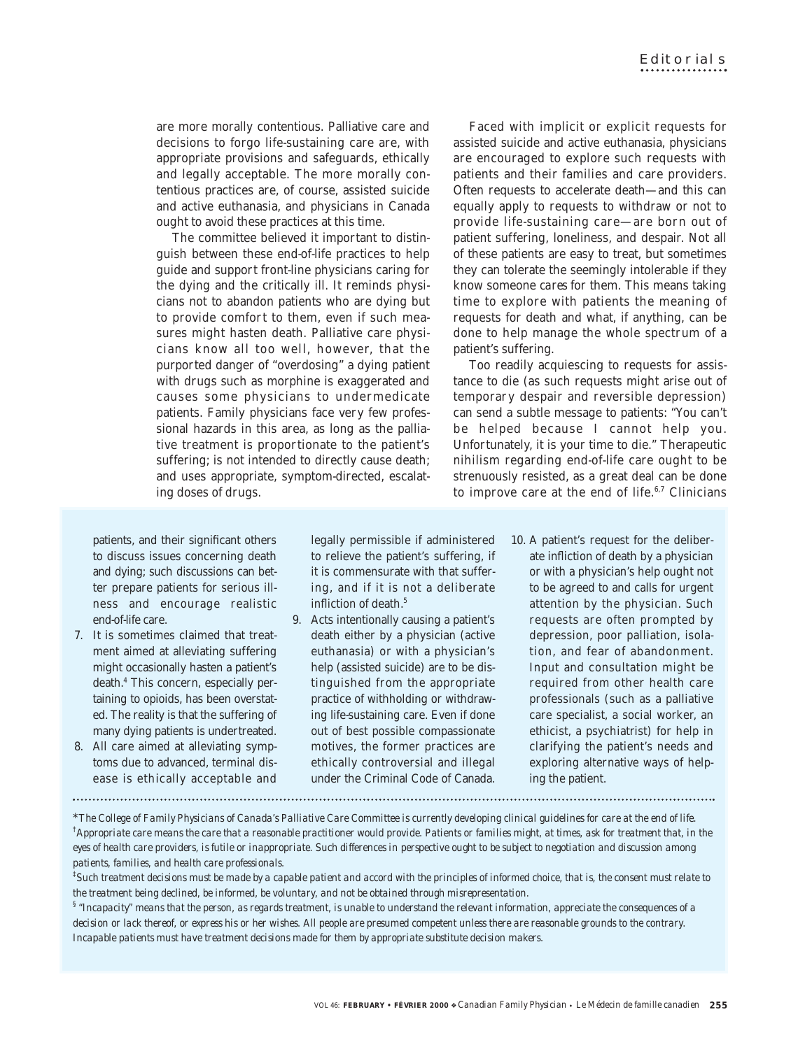are more morally contentious. Palliative care and decisions to forgo life-sustaining care are, with appropriate provisions and safeguards, ethically and legally acceptable. The more morally contentious practices are, of course, assisted suicide and active euthanasia, and physicians in Canada ought to avoid these practices at this time.

The committee believed it important to distinguish between these end-of-life practices to help guide and support front-line physicians caring for the dying and the critically ill. It reminds physicians not to abandon patients who are dying but to provide comfort to them, even if such measures might hasten death. Palliative care physicians know all too well, however, that the purported danger of "overdosing" a dying patient with drugs such as morphine is exaggerated and causes some physicians to undermedicate patients. Family physicians face very few professional hazards in this area, as long as the palliative treatment is proportionate to the patient's suffering; is not intended to directly cause death; and uses appropriate, symptom-directed, escalating doses of drugs.

Faced with implicit or explicit requests for assisted suicide and active euthanasia, physicians are encouraged to explore such requests with patients and their families and care providers. Often requests to accelerate death—and this can equally apply to requests to withdraw or not to provide life-sustaining care—are born out of patient suffering, loneliness, and despair. Not all of these patients are easy to treat, but sometimes they can tolerate the seemingly intolerable if they know someone *cares* for them. This means taking time to explore with patients the meaning of requests for death and what, if anything, can be done to help manage the whole spectrum of a patient's suffering.

Too readily acquiescing to requests for assistance to die (as such requests might arise out of temporary despair and reversible depression) can send a subtle message to patients: "You can't be helped because I cannot help you. Unfortunately, it is your time to die." Therapeutic nihilism regarding end-of-life care ought to be strenuously resisted, as a great deal can be done to improve care at the end of life. $6,7$  Clinicians

patients, and their significant others to discuss issues concerning death and dying; such discussions can better prepare patients for serious illness and encourage realistic end-of-life care.

- 7. It is sometimes claimed that treatment aimed at alleviating suffering might occasionally hasten a patient's death.4 This concern, especially pertaining to opioids, has been overstated. The reality is that the suffering of many dying patients is undertreated.
- 8. All care aimed at alleviating symptoms due to advanced, terminal disease is ethically acceptable and

legally permissible if administered to relieve the patient's suffering, if it is commensurate with that suffering, and if it is not a deliberate infliction of death.<sup>5</sup>

- 9. Acts intentionally causing a patient's death either by a physician (active euthanasia) or with a physician's help (assisted suicide) are to be distinguished from the appropriate practice of withholding or withdrawing life-sustaining care. Even if done out of best possible compassionate motives, the former practices are ethically controversial and illegal under the Criminal Code of Canada.
- 10. A patient's request for the deliberate infliction of death by a physician or with a physician's help ought not to be agreed to and calls for urgent attention by the physician. Such requests are often prompted by depression, poor palliation, isolation, and fear of abandonment. Input and consultation might be required from other health care professionals (such as a palliative care specialist, a social worker, an ethicist, a psychiatrist) for help in clarifying the patient's needs and exploring alternative ways of helping the patient.

\**The College of Family Physicians of Canada's Palliative Care Committee is currently developing clinical guidelines for care at the end of life.* † *Appropriate care means the care that a reasonable practitioner would provide. Patients or families might, at times, ask for treatment that, in the eyes of health care providers, is futile or inappropriate. Such differences in perspective ought to be subject to negotiation and discussion among patients, families, and health care professionals.*

‡ *Such treatment decisions must be made by a capable patient and accord with the principles of informed choice, that is, the consent must relate to the treatment being declined, be informed, be voluntary, and not be obtained through misrepresentation.*

§ *"Incapacity" means that the person, as regards treatment, is unable to understand the relevant information, appreciate the consequences of a decision or lack thereof, or express his or her wishes. All people are presumed competent unless there are reasonable grounds to the contrary. Incapable patients must have treatment decisions made for them by appropriate substitute decision makers.*